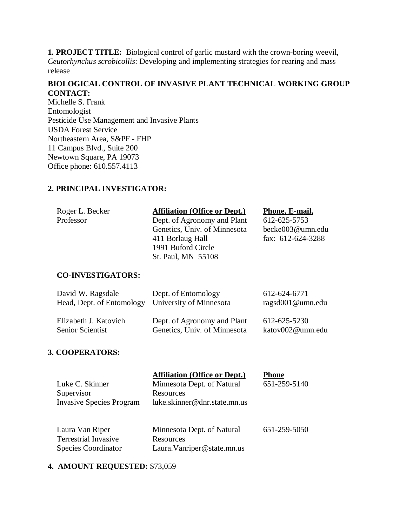**1. PROJECT TITLE:** Biological control of garlic mustard with the crown-boring weevil, *Ceutorhynchus scrobicollis*: Developing and implementing strategies for rearing and mass release

## **BIOLOGICAL CONTROL OF INVASIVE PLANT TECHNICAL WORKING GROUP CONTACT:**

Michelle S. Frank Entomologist Pesticide Use Management and Invasive Plants USDA Forest Service Northeastern Area, S&PF - FHP 11 Campus Blvd., Suite 200 Newtown Square, PA 19073 Office phone: 610.557.4113

# **2. PRINCIPAL INVESTIGATOR:**

| Roger L. Becker | <b>Affiliation (Office or Dept.)</b> | Phone, E-mail,    |
|-----------------|--------------------------------------|-------------------|
| Professor       | Dept. of Agronomy and Plant          | 612-625-5753      |
|                 | Genetics, Univ. of Minnesota         | becke003@umn.edu  |
|                 | 411 Borlaug Hall                     | fax: 612-624-3288 |
|                 | 1991 Buford Circle                   |                   |
|                 | St. Paul, MN 55108                   |                   |
|                 |                                      |                   |

# **CO-INVESTIGATORS:**

| David W. Ragsdale                                 | Dept. of Entomology          | 612-624-6771     |
|---------------------------------------------------|------------------------------|------------------|
| Head, Dept. of Entomology University of Minnesota |                              | ragsd001@umn.edu |
|                                                   |                              |                  |
| Elizabeth J. Katovich                             | Dept. of Agronomy and Plant  | 612-625-5230     |
| Senior Scientist                                  | Genetics, Univ. of Minnesota | katov002@umn.edu |

# **3. COOPERATORS:**

|                          | <b>Affiliation (Office or Dept.)</b> | <b>Phone</b> |
|--------------------------|--------------------------------------|--------------|
| Luke C. Skinner          | Minnesota Dept. of Natural           | 651-259-5140 |
| Supervisor               | Resources                            |              |
| Invasive Species Program | luke.skinner@dnr.state.mn.us         |              |

| Laura Van Riper             | Minnesota Dept. of Natural  | 651-259-5050 |
|-----------------------------|-----------------------------|--------------|
| <b>Terrestrial Invasive</b> | Resources                   |              |
| <b>Species Coordinator</b>  | Laura. Vanriper@state.mn.us |              |

## **4. AMOUNT REQUESTED:** \$73,059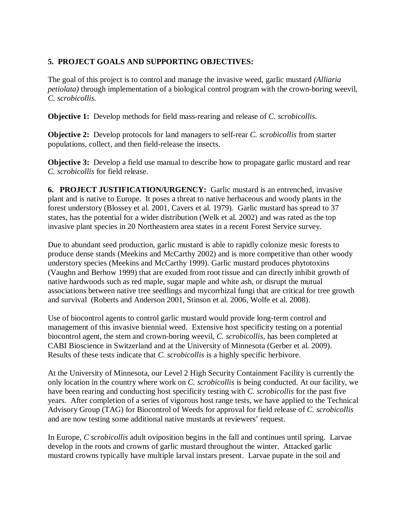# **5. PROJECT GOALS AND SUPPORTING OBJECTIVES:**

The goal of this project is to control and manage the invasive weed, garlic mustard *(Alliaria petiolata*) through implementation of a biological control program with the crown-boring weevil. *C. scrobicollis.*

**Objective 1:** Develop methods for field mass-rearing and release of *C. scrobicollis*.

**Objective 2:** Develop protocols for land managers to self-rear *C. scrobicollis* from starter populations, collect, and then field-release the insects.

**Objective 3:** Develop a field use manual to describe how to propagate garlic mustard and rear *C. scrobicollis* for field release.

**6. PROJECT JUSTIFICATION/URGENCY:** Garlic mustard is an entrenched, invasive plant and is native to Europe. It poses a threat to native herbaceous and woody plants in the forest understory (Blossey et al. 2001, Cavers et al. 1979). Garlic mustard has spread to 37 states, has the potential for a wider distribution (Welk et al. 2002) and was rated as the top invasive plant species in 20 Northeastern area states in a recent Forest Service survey.

Due to abundant seed production, garlic mustard is able to rapidly colonize mesic forests to produce dense stands (Meekins and McCarthy 2002) and is more competitive than other woody understory species (Meekins and McCarthy 1999). Garlic mustard produces phytotoxins (Vaughn and Berhow 1999) that are exuded from root tissue and can directly inhibit growth of native hardwoods such as red maple, sugar maple and white ash, or disrupt the mutual associations between native tree seedlings and mycorrhizal fungi that are critical for tree growth and survival (Roberts and Anderson 2001, Stinson et al. 2006, Wolfe et al. 2008).

Use of biocontrol agents to control garlic mustard would provide long-term control and management of this invasive biennial weed. Extensive host specificity testing on a potential biocontrol agent, the stem and crown-boring weevil, *C. scrobicollis,* has been completed at CABI Bioscience in Switzerland and at the University of Minnesota (Gerber et al. 2009). Results of these tests indicate that *C. scrobicollis* is a highly specific herbivore.

At the University of Minnesota, our Level 2 High Security Containment Facility is currently the only location in the country where work on *C. scrobicollis* is being conducted. At our facility, we have been rearing and conducting host specificity testing with *C. scrobicollis* for the past five years. After completion of a series of vigorous host range tests, we have applied to the Technical Advisory Group (TAG) for Biocontrol of Weeds for approval for field release of *C. scrobicollis* and are now testing some additional native mustards at reviewers' request.

In Europe, *C scrobicollis* adult oviposition begins in the fall and continues until spring. Larvae develop in the roots and crowns of garlic mustard throughout the winter. Attacked garlic mustard crowns typically have multiple larval instars present. Larvae pupate in the soil and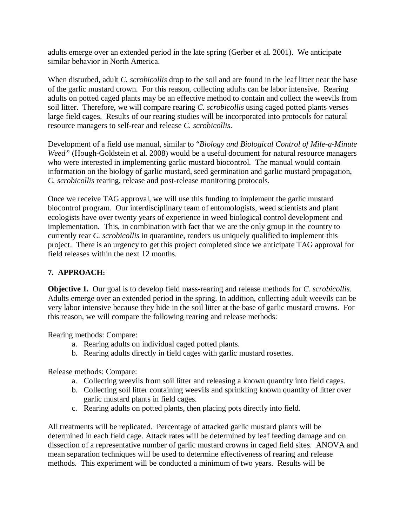adults emerge over an extended period in the late spring (Gerber et al. 2001). We anticipate similar behavior in North America.

When disturbed, adult *C. scrobicollis* drop to the soil and are found in the leaf litter near the base of the garlic mustard crown. For this reason, collecting adults can be labor intensive. Rearing adults on potted caged plants may be an effective method to contain and collect the weevils from soil litter. Therefore, we will compare rearing *C. scrobicollis* using caged potted plants verses large field cages. Results of our rearing studies will be incorporated into protocols for natural resource managers to self-rear and release *C. scrobicollis*.

Development of a field use manual, similar to "*Biology and Biological Control of Mile-a-Minute Weed"* (Hough-Goldstein et al. 2008) would be a useful document for natural resource managers who were interested in implementing garlic mustard biocontrol. The manual would contain information on the biology of garlic mustard, seed germination and garlic mustard propagation, *C. scrobicollis* rearing, release and post-release monitoring protocols.

Once we receive TAG approval, we will use this funding to implement the garlic mustard biocontrol program. Our interdisciplinary team of entomologists, weed scientists and plant ecologists have over twenty years of experience in weed biological control development and implementation. This, in combination with fact that we are the only group in the country to currently rear *C. scrobicollis* in quarantine, renders us uniquely qualified to implement this project. There is an urgency to get this project completed since we anticipate TAG approval for field releases within the next 12 months.

## **7. APPROACH:**

**Objective 1.** Our goal is to develop field mass-rearing and release methods for *C. scrobicollis.* Adults emerge over an extended period in the spring. In addition, collecting adult weevils can be very labor intensive because they hide in the soil litter at the base of garlic mustard crowns. For this reason, we will compare the following rearing and release methods:

Rearing methods: Compare:

- a. Rearing adults on individual caged potted plants.
- b. Rearing adults directly in field cages with garlic mustard rosettes.

Release methods: Compare:

- a. Collecting weevils from soil litter and releasing a known quantity into field cages.
- b. Collecting soil litter containing weevils and sprinkling known quantity of litter over garlic mustard plants in field cages.
- c. Rearing adults on potted plants, then placing pots directly into field.

All treatments will be replicated. Percentage of attacked garlic mustard plants will be determined in each field cage. Attack rates will be determined by leaf feeding damage and on dissection of a representative number of garlic mustard crowns in caged field sites. ANOVA and mean separation techniques will be used to determine effectiveness of rearing and release methods. This experiment will be conducted a minimum of two years. Results will be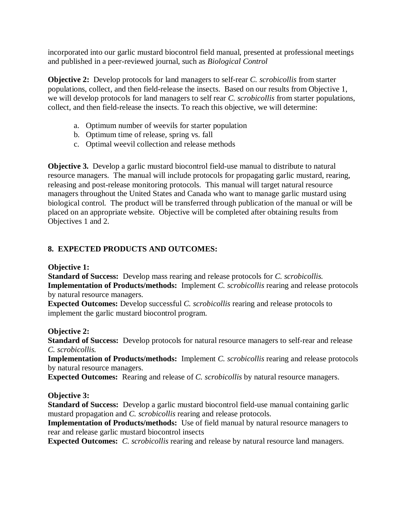incorporated into our garlic mustard biocontrol field manual, presented at professional meetings and published in a peer-reviewed journal, such as *Biological Control*

**Objective 2:** Develop protocols for land managers to self-rear *C. scrobicollis* from starter populations, collect, and then field-release the insects. Based on our results from Objective 1, we will develop protocols for land managers to self rear *C. scrobicollis* from starter populations, collect, and then field-release the insects. To reach this objective, we will determine:

- a. Optimum number of weevils for starter population
- b. Optimum time of release, spring vs. fall
- c. Optimal weevil collection and release methods

**Objective 3.** Develop a garlic mustard biocontrol field-use manual to distribute to natural resource managers. The manual will include protocols for propagating garlic mustard, rearing, releasing and post-release monitoring protocols. This manual will target natural resource managers throughout the United States and Canada who want to manage garlic mustard using biological control. The product will be transferred through publication of the manual or will be placed on an appropriate website. Objective will be completed after obtaining results from Objectives 1 and 2.

## **8. EXPECTED PRODUCTS AND OUTCOMES:**

### **Objective 1:**

 **Standard of Success:** Develop mass rearing and release protocols for *C. scrobicollis.* **Implementation of Products/methods:** Implement *C. scrobicollis* rearing and release protocols by natural resource managers.

**Expected Outcomes:** Develop successful *C. scrobicollis* rearing and release protocols to implement the garlic mustard biocontrol program.

### **Objective 2:**

**Standard of Success:** Develop protocols for natural resource managers to self-rear and release *C. scrobicollis.*

**Implementation of Products/methods:** Implement *C. scrobicollis* rearing and release protocols by natural resource managers.

**Expected Outcomes:** Rearing and release of *C. scrobicollis* by natural resource managers.

**Objective 3:** 

**Standard of Success:** Develop a garlic mustard biocontrol field-use manual containing garlic mustard propagation and *C. scrobicollis* rearing and release protocols.

**Implementation of Products/methods:** Use of field manual by natural resource managers to rear and release garlic mustard biocontrol insects

**Expected Outcomes:** *C. scrobicollis* rearing and release by natural resource land managers.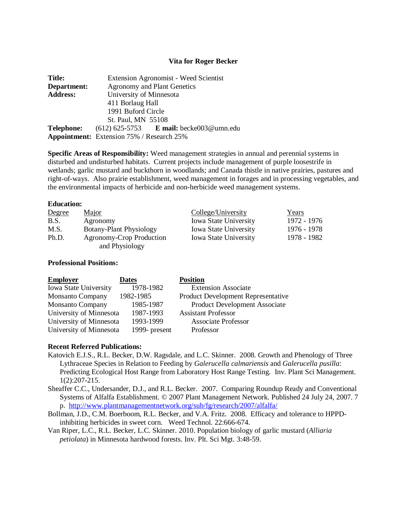#### **Vita for Roger Becker**

| <b>Title:</b>   | <b>Extension Agronomist - Weed Scientist</b>                       |  |  |
|-----------------|--------------------------------------------------------------------|--|--|
| Department:     | <b>Agronomy and Plant Genetics</b>                                 |  |  |
| <b>Address:</b> | University of Minnesota                                            |  |  |
|                 | 411 Borlaug Hall                                                   |  |  |
|                 | 1991 Buford Circle                                                 |  |  |
|                 | St. Paul, MN 55108                                                 |  |  |
|                 | <b>Telephone:</b> $(612) 625-5753$ <b>E</b> mail: becke003@umn.edu |  |  |
|                 | <b>Appointment:</b> Extension 75% / Research 25%                   |  |  |

**Specific Areas of Responsibility:** Weed management strategies in annual and perennial systems in disturbed and undisturbed habitats. Current projects include management of purple loosestrife in wetlands; garlic mustard and buckthorn in woodlands; and Canada thistle in native prairies, pastures and right-of-ways. Also prairie establishment, weed management in forages and in processing vegetables, and the environmental impacts of herbicide and non-herbicide weed management systems.

#### **Education:**

| Degree | Major                    | College/University           | Years       |
|--------|--------------------------|------------------------------|-------------|
| B.S.   | Agronomy                 | <b>Iowa State University</b> | 1972 - 1976 |
| M.S.   | Botany-Plant Physiology  | <b>Iowa State University</b> | 1976 - 1978 |
| Ph.D.  | Agronomy-Crop Production | <b>Iowa State University</b> | 1978 - 1982 |
|        | and Physiology           |                              |             |

### **Professional Positions:**

| <b>Employer</b>              | <b>Dates</b>  | <b>Position</b>                           |
|------------------------------|---------------|-------------------------------------------|
| <b>Iowa State University</b> | 1978-1982     | <b>Extension Associate</b>                |
| <b>Monsanto Company</b>      | 1982-1985     | <b>Product Development Representative</b> |
| <b>Monsanto Company</b>      | 1985-1987     | <b>Product Development Associate</b>      |
| University of Minnesota      | 1987-1993     | <b>Assistant Professor</b>                |
| University of Minnesota      | 1993-1999     | <b>Associate Professor</b>                |
| University of Minnesota      | 1999- present | Professor                                 |

#### **Recent Referred Publications:**

- Katovich E.J.S., R.L. Becker, D.W. Ragsdale, and L.C. Skinner. 2008. Growth and Phenology of Three Lythraceae Species in Relation to Feeding by *Galerucella calmariensis* and *Galerucella pusilla*: Predicting Ecological Host Range from Laboratory Host Range Testing. Inv. Plant Sci Management. 1(2):207-215.
- Sheaffer C.C., Undersander, D.J., and R.L. Becker. 2007. Comparing Roundup Ready and Conventional Systems of Alfalfa Establishment. © 2007 Plant Management Network. Published 24 July 24, 2007. 7 p. <http://www.plantmanagementnetwork.org/sub/fg/research/2007/alfalfa/>
- Bollman, J.D., C.M. Boerboom, R.L. Becker, and V.A. Fritz. 2008. Efficacy and tolerance to HPPDinhibiting herbicides in sweet corn. Weed Technol. 22:666-674.
- Van Riper, L.C., R.L. Becker, L.C. Skinner. 2010. Population biology of garlic mustard (*Alliaria petiolata*) in Minnesota hardwood forests. Inv. Plt. Sci Mgt. 3:48-59.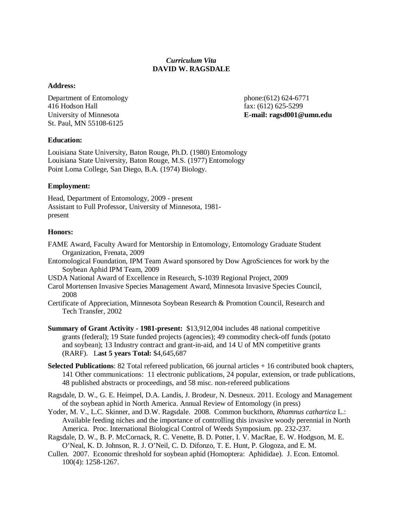### *Curriculum Vita* **DAVID W. RAGSDALE**

### **Address:**

Department of Entomology 416 Hodson Hall University of Minnesota St. Paul, MN 55108-6125

phone:(612) 624-6771 fax: (612) 625-5299 **E-mail: ragsd001@umn.edu**

#### **Education:**

Louisiana State University, Baton Rouge, Ph.D. (1980) Entomology Louisiana State University, Baton Rouge, M.S. (1977) Entomology Point Loma College, San Diego, B.A. (1974) Biology.

### **Employment:**

Head, Department of Entomology, 2009 - present Assistant to Full Professor, University of Minnesota, 1981 present

#### **Honors:**

- FAME Award, Faculty Award for Mentorship in Entomology, Entomology Graduate Student Organization, Frenata, 2009
- Entomological Foundation, IPM Team Award sponsored by Dow AgroSciences for work by the Soybean Aphid IPM Team, 2009
- USDA National Award of Excellence in Research, S-1039 Regional Project, 2009
- Carol Mortensen Invasive Species Management Award, Minnesota Invasive Species Council, 2008
- Certificate of Appreciation, Minnesota Soybean Research & Promotion Council, Research and Tech Transfer, 2002
- **Summary of Grant Activity - 1981-present:** \$13,912,004 includes 48 national competitive grants (federal); 19 State funded projects (agencies); 49 commodity check-off funds (potato and soybean); 13 Industry contract and grant-in-aid, and 14 U of MN competitive grants (RARF). L**ast 5 years Total:** \$4,645,687
- **Selected Publications**: 82 Total refereed publication, 66 journal articles + 16 contributed book chapters, 141 Other communications: 11 electronic publications, 24 popular, extension, or trade publications, 48 published abstracts or proceedings, and 58 misc. non-refereed publications
- Ragsdale, D. W., G. E. Heimpel, D.A. Landis, J. Brodeur, N. Desneux. 2011. Ecology and Management of the soybean aphid in North America. Annual Review of Entomology (in press)
- Yoder, M. V., L.C. Skinner, and D.W. Ragsdale. 2008. Common buckthorn, *Rhamnus cathartica* L.: Available feeding niches and the importance of controlling this invasive woody perennial in North America. Proc. International Biological Control of Weeds Symposium. pp. 232-237.
- Ragsdale, D. W., B. P. McCornack, R. C. Venette, B. D. Potter, I. V. MacRae, E. W. Hodgson, M. E. O'Neal, K. D. Johnson, R. J. O'Neil, C. D. Difonzo, T. E. Hunt, P. Glogoza, and E. M.
- Cullen. 2007. Economic threshold for soybean aphid (Homoptera: Aphididae). J. Econ. Entomol. 100(4): 1258-1267.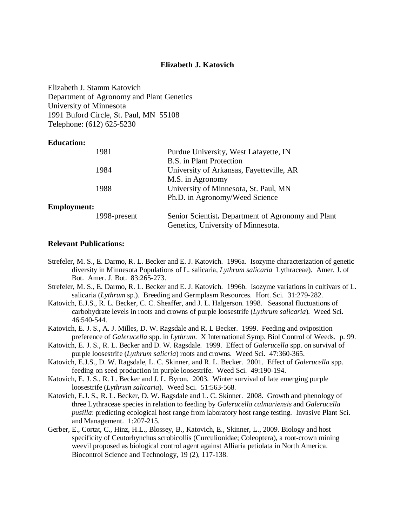### **Elizabeth J. Katovich**

Elizabeth J. Stamm Katovich Department of Agronomy and Plant Genetics University of Minnesota 1991 Buford Circle, St. Paul, MN 55108 Telephone: (612) 625-5230

### **Education:**

|                    | 1981         | Purdue University, West Lafayette, IN              |
|--------------------|--------------|----------------------------------------------------|
|                    |              | B.S. in Plant Protection                           |
|                    | 1984         | University of Arkansas, Fayetteville, AR           |
|                    |              | M.S. in Agronomy                                   |
|                    | 1988         | University of Minnesota, St. Paul, MN              |
|                    |              | Ph.D. in Agronomy/Weed Science                     |
| <b>Employment:</b> |              |                                                    |
|                    | 1998-present | Senior Scientist. Department of Agronomy and Plant |
|                    |              | Genetics, University of Minnesota.                 |

#### **Relevant Publications:**

- Strefeler, M. S., E. Darmo, R. L. Becker and E. J. Katovich. 1996a. Isozyme characterization of genetic diversity in Minnesota Populations of L. salicaria, *Lythrum salicaria* Lythraceae). Amer. J. of Bot. Amer. J. Bot. 83:265-273.
- Strefeler, M. S., E. Darmo, R. L. Becker and E. J. Katovich. 1996b. Isozyme variations in cultivars of L. salicaria (*Lythrum* sp.). Breeding and Germplasm Resources. Hort. Sci. 31:279-282.
- Katovich, E.J.S., R. L. Becker, C. C. Sheaffer, and J. L. Halgerson. 1998. Seasonal fluctuations of carbohydrate levels in roots and crowns of purple loosestrife (*Lythrum salicaria*). Weed Sci. 46:540-544.
- Katovich, E. J. S., A. J. Milles, D. W. Ragsdale and R. L Becker. 1999. Feeding and oviposition preference of *Galerucella* spp. in *Lythrum*. X International Symp. Biol Control of Weeds. p. 99.
- Katovich, E. J. S., R. L. Becker and D. W. Ragsdale. 1999. Effect of *Galerucella* spp. on survival of purple loosestrife (*Lythrum salicria*) roots and crowns. Weed Sci. 47:360-365.
- Katovich, E.J.S., D. W. Ragsdale, L. C. Skinner, and R. L. Becker. 2001. Effect of *Galerucella* spp. feeding on seed production in purple loosestrife. Weed Sci. 49:190-194.
- Katovich, E. J. S., R. L. Becker and J. L. Byron. 2003. Winter survival of late emerging purple loosestrife (*Lythrum salicaria*). Weed Sci. 51:563-568.
- Katovich, E.J. S., R. L. Becker, D. W. Ragsdale and L. C. Skinner. 2008. Growth and phenology of three Lythraceae species in relation to feeding by *Galerucella calmariensis* and *Galerucella pusilla*: predicting ecological host range from laboratory host range testing. Invasive Plant Sci. and Management. 1:207-215.
- Gerber, E., Cortat, C., Hinz, H.L., Blossey, B., Katovich, E., Skinner, L., 2009. Biology and host specificity of Ceutorhynchus scrobicollis (Curculionidae; Coleoptera), a root-crown mining weevil proposed as biological control agent against Alliaria petiolata in North America. Biocontrol Science and Technology, 19 (2), 117-138.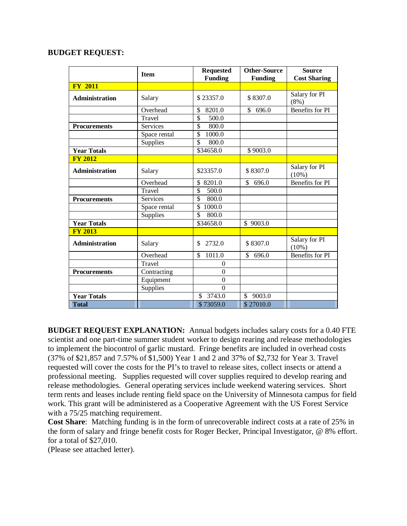### **BUDGET REQUEST:**

|                       | <b>Item</b>     | <b>Requested</b>                  | <b>Other-Source</b>     | <b>Source</b>             |
|-----------------------|-----------------|-----------------------------------|-------------------------|---------------------------|
|                       |                 | <b>Funding</b>                    | <b>Funding</b>          | <b>Cost Sharing</b>       |
| <b>FY 2011</b>        |                 |                                   |                         |                           |
| <b>Administration</b> | Salary          | \$23357.0                         | \$8307.0                | Salary for PI<br>$(8\%)$  |
|                       | Overhead        | 8201.0<br>\$                      | \$696.0                 | <b>Benefits for PI</b>    |
|                       | Travel          | $\overline{\mathcal{S}}$<br>500.0 |                         |                           |
| <b>Procurements</b>   | <b>Services</b> | \$<br>800.0                       |                         |                           |
|                       | Space rental    | $\overline{\mathbb{S}}$<br>1000.0 |                         |                           |
|                       | Supplies        | $\mathcal{S}$<br>800.0            |                         |                           |
| <b>Year Totals</b>    |                 | \$34658.0                         | \$9003.0                |                           |
| <b>FY 2012</b>        |                 |                                   |                         |                           |
| <b>Administration</b> | Salary          | \$23357.0                         | \$8307.0                | Salary for PI<br>$(10\%)$ |
|                       | Overhead        | 8201.0<br>\$                      | \$<br>696.0             | <b>Benefits for PI</b>    |
|                       | Travel          | \$<br>500.0                       |                         |                           |
| <b>Procurements</b>   | <b>Services</b> | $\overline{\mathbb{S}}$<br>800.0  |                         |                           |
|                       | Space rental    | \$<br>1000.0                      |                         |                           |
|                       | Supplies        | $\overline{\mathbb{S}}$<br>800.0  |                         |                           |
| <b>Year Totals</b>    |                 | \$34658.0                         | \$9003.0                |                           |
| <b>FY 2013</b>        |                 |                                   |                         |                           |
| <b>Administration</b> | Salary          | 2732.0<br>\$.                     | \$8307.0                | Salary for PI<br>$(10\%)$ |
|                       | Overhead        | 1011.0<br>\$                      | \$<br>696.0             | <b>Benefits for PI</b>    |
|                       | Travel          | $\theta$                          |                         |                           |
| <b>Procurements</b>   | Contracting     | $\theta$                          |                         |                           |
|                       | Equipment       | $\overline{0}$                    |                         |                           |
|                       | Supplies        | $\overline{0}$                    |                         |                           |
| <b>Year Totals</b>    |                 | \$<br>3743.0                      | $\mathcal{S}$<br>9003.0 |                           |
| <b>Total</b>          |                 | \$73059.0                         | \$27010.0               |                           |

**BUDGET REQUEST EXPLANATION:** Annual budgets includes salary costs for a 0.40 FTE scientist and one part-time summer student worker to design rearing and release methodologies to implement the biocontrol of garlic mustard. Fringe benefits are included in overhead costs (37% of \$21,857 and 7.57% of \$1,500) Year 1 and 2 and 37% of \$2,732 for Year 3. Travel requested will cover the costs for the PI's to travel to release sites, collect insects or attend a professional meeting. Supplies requested will cover supplies required to develop rearing and release methodologies. General operating services include weekend watering services. Short term rents and leases include renting field space on the University of Minnesota campus for field work. This grant will be administered as a Cooperative Agreement with the US Forest Service with a 75/25 matching requirement.

**Cost Share**: Matching funding is in the form of unrecoverable indirect costs at a rate of 25% in the form of salary and fringe benefit costs for Roger Becker, Principal Investigator, @ 8% effort. for a total of \$27,010.

(Please see attached letter).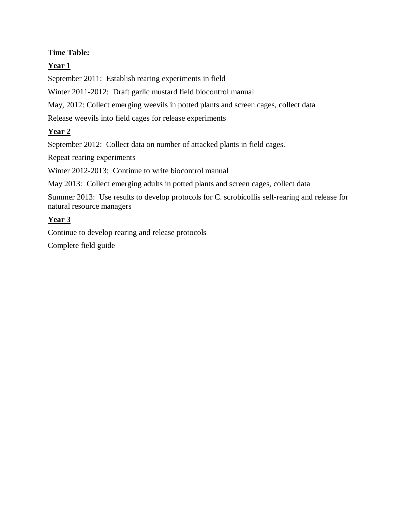# **Time Table:**

# **Year 1**

September 2011: Establish rearing experiments in field

Winter 2011-2012: Draft garlic mustard field biocontrol manual

May, 2012: Collect emerging weevils in potted plants and screen cages, collect data

Release weevils into field cages for release experiments

# **Year 2**

September 2012: Collect data on number of attacked plants in field cages.

Repeat rearing experiments

Winter 2012-2013: Continue to write biocontrol manual

May 2013: Collect emerging adults in potted plants and screen cages, collect data

Summer 2013: Use results to develop protocols for C. scrobicollis self-rearing and release for natural resource managers

# **Year 3**

Continue to develop rearing and release protocols

Complete field guide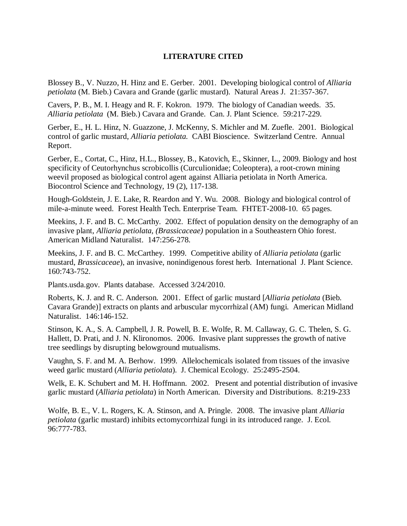## **LITERATURE CITED**

Blossey B., V. Nuzzo, H. Hinz and E. Gerber. 2001. Developing biological control of *Alliaria petiolata* (M. Bieb.) Cavara and Grande (garlic mustard). Natural Areas J. 21:357-367.

Cavers, P. B., M. I. Heagy and R. F. Kokron. 1979. The biology of Canadian weeds. 35. *Alliaria petiolata* (M. Bieb.) Cavara and Grande. Can. J. Plant Science. 59:217-229.

Gerber, E., H. L. Hinz, N. Guazzone, J. McKenny, S. Michler and M. Zuefle. 2001. Biological control of garlic mustard, *Alliaria petiolata.* CABI Bioscience. Switzerland Centre. Annual Report.

Gerber, E., Cortat, C., Hinz, H.L., Blossey, B., Katovich, E., Skinner, L., 2009. Biology and host specificity of Ceutorhynchus scrobicollis (Curculionidae; Coleoptera), a root-crown mining weevil proposed as biological control agent against Alliaria petiolata in North America. Biocontrol Science and Technology, 19 (2), 117-138.

Hough-Goldstein, J. E. Lake, R. Reardon and Y. Wu. 2008. Biology and biological control of mile-a-minute weed. Forest Health Tech. Enterprise Team. FHTET-2008-10. 65 pages.

Meekins, J. F. and B. C. McCarthy. 2002. Effect of population density on the demography of an invasive plant, *Alliaria petiolata, (Brassicaceae)* population in a Southeastern Ohio forest. American Midland Naturalist. 147:256-278.

Meekins, J. F. and B. C. McCarthey. 1999. Competitive ability of *Alliaria petiolata* (garlic mustard, *Brassicaceae*), an invasive, nonindigenous forest herb. International J. Plant Science. 160:743-752.

Plants.usda.gov. Plants database. Accessed 3/24/2010.

Roberts, K. J. and R. C. Anderson. 2001. Effect of garlic mustard [*Alliaria petiolata* (Bieb. Cavara Grande)] extracts on plants and arbuscular mycorrhizal (AM) fungi. American Midland Naturalist. 146:146-152.

Stinson, K. A., S. A. Campbell, J. R. Powell, B. E. Wolfe, R. M. Callaway, G. C. Thelen, S. G. Hallett, D. Prati, and J. N. Klironomos. 2006. Invasive plant suppresses the growth of native tree seedlings by disrupting belowground mutualisms.

Vaughn, S. F. and M. A. Berhow. 1999. Allelochemicals isolated from tissues of the invasive weed garlic mustard (*Alliaria petiolata*). J. Chemical Ecology. 25:2495-2504.

Welk, E. K. Schubert and M. H. Hoffmann. 2002. Present and potential distribution of invasive garlic mustard (*Alliaria petiolata*) in North American. Diversity and Distributions. 8:219-233

Wolfe, B. E., V. L. Rogers, K. A. Stinson, and A. Pringle. 2008. The invasive plant *Alliaria petiolata* (garlic mustard) inhibits ectomycorrhizal fungi in its introduced range. J. Ecol. 96:777-783.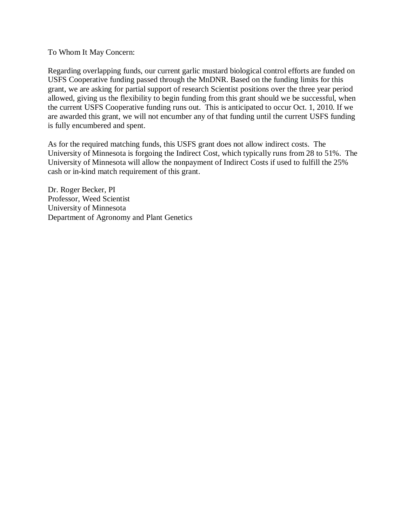### To Whom It May Concern:

Regarding overlapping funds, our current garlic mustard biological control efforts are funded on USFS Cooperative funding passed through the MnDNR. Based on the funding limits for this grant, we are asking for partial support of research Scientist positions over the three year period allowed, giving us the flexibility to begin funding from this grant should we be successful, when the current USFS Cooperative funding runs out. This is anticipated to occur Oct. 1, 2010. If we are awarded this grant, we will not encumber any of that funding until the current USFS funding is fully encumbered and spent.

As for the required matching funds, this USFS grant does not allow indirect costs. The University of Minnesota is forgoing the Indirect Cost, which typically runs from 28 to 51%. The University of Minnesota will allow the nonpayment of Indirect Costs if used to fulfill the 25% cash or in-kind match requirement of this grant.

Dr. Roger Becker, PI Professor, Weed Scientist University of Minnesota Department of Agronomy and Plant Genetics